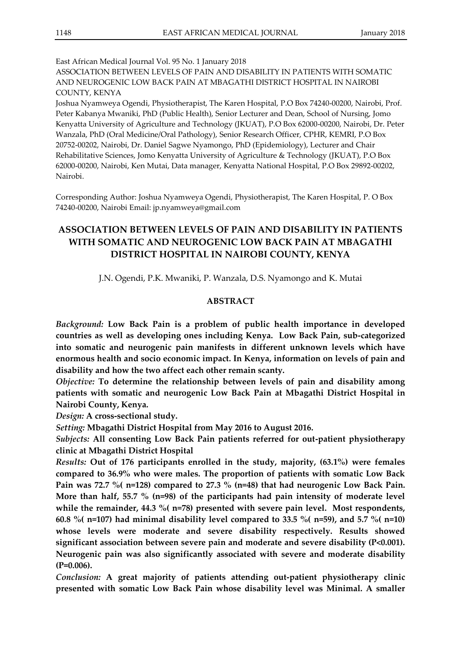East African Medical Journal Vol. 95 No. 1 January 2018

ASSOCIATION BETWEEN LEVELS OF PAIN AND DISABILITY IN PATIENTS WITH SOMATIC AND NEUROGENIC LOW BACK PAIN AT MBAGATHI DISTRICT HOSPITAL IN NAIROBI COUNTY, KENYA

Joshua Nyamweya Ogendi, Physiotherapist, The Karen Hospital, P.O Box 74240-00200, Nairobi, Prof. Peter Kabanya Mwaniki, PhD (Public Health), Senior Lecturer and Dean, School of Nursing, Jomo Kenyatta University of Agriculture and Technology (JKUAT), P.O Box 62000-00200, Nairobi, Dr. Peter Wanzala, PhD (Oral Medicine/Oral Pathology), Senior Research Officer, CPHR, KEMRI, P.O Box 20752-00202, Nairobi, Dr. Daniel Sagwe Nyamongo, PhD (Epidemiology), Lecturer and Chair Rehabilitative Sciences, Jomo Kenyatta University of Agriculture & Technology (JKUAT), P.O Box 62000-00200, Nairobi, Ken Mutai, Data manager, Kenyatta National Hospital, P.O Box 29892-00202, Nairobi.

Corresponding Author: Joshua Nyamweya Ogendi, Physiotherapist, The Karen Hospital, P. O Box 74240-00200, Nairobi Email: jp.nyamweya@gmail.com

# **ASSOCIATION BETWEEN LEVELS OF PAIN AND DISABILITY IN PATIENTS WITH SOMATIC AND NEUROGENIC LOW BACK PAIN AT MBAGATHI DISTRICT HOSPITAL IN NAIROBI COUNTY, KENYA**

J.N. Ogendi, P.K. Mwaniki, P. Wanzala, D.S. Nyamongo and K. Mutai

# **ABSTRACT**

*Background:* **Low Back Pain is a problem of public health importance in developed countries as well as developing ones including Kenya. Low Back Pain, sub-categorized into somatic and neurogenic pain manifests in different unknown levels which have enormous health and socio economic impact. In Kenya, information on levels of pain and disability and how the two affect each other remain scanty.**

*Objective:* **To determine the relationship between levels of pain and disability among patients with somatic and neurogenic Low Back Pain at Mbagathi District Hospital in Nairobi County, Kenya.**

*Design:* **A cross-sectional study.**

*Setting:* **Mbagathi District Hospital from May 2016 to August 2016.**

*Subjects:* **All consenting Low Back Pain patients referred for out-patient physiotherapy clinic at Mbagathi District Hospital** 

*Results:* **Out of 176 participants enrolled in the study, majority, (63.1%) were females compared to 36.9% who were males. The proportion of patients with somatic Low Back Pain was 72.7 %( n=128) compared to 27.3 % (n=48) that had neurogenic Low Back Pain. More than half, 55.7 % (n=98) of the participants had pain intensity of moderate level while the remainder, 44.3 %( n=78) presented with severe pain level. Most respondents, 60.8 %( n=107) had minimal disability level compared to 33.5 %( n=59), and 5.7 %( n=10) whose levels were moderate and severe disability respectively. Results showed significant association between severe pain and moderate and severe disability (P<0.001). Neurogenic pain was also significantly associated with severe and moderate disability (P=0.006).**

*Conclusion:* **A great majority of patients attending out-patient physiotherapy clinic presented with somatic Low Back Pain whose disability level was Minimal. A smaller**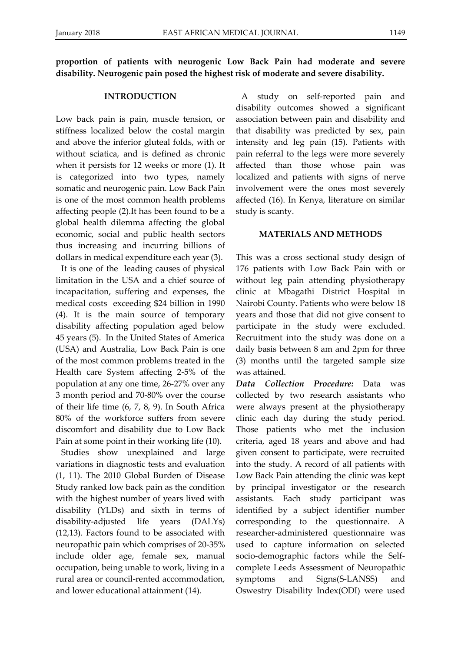**proportion of patients with neurogenic Low Back Pain had moderate and severe disability. Neurogenic pain posed the highest risk of moderate and severe disability.**

#### **INTRODUCTION**

Low back pain is pain, muscle tension, or stiffness localized below the costal margin and above the inferior gluteal folds, with or without sciatica, and is defined as chronic when it persists for 12 weeks or more (1). It is categorized into two types, namely somatic and neurogenic pain. Low Back Pain is one of the most common health problems affecting people (2).It has been found to be a global health dilemma affecting the global economic, social and public health sectors thus increasing and incurring billions of dollars in medical expenditure each year (3).

It is one of the leading causes of physical limitation in the USA and a chief source of incapacitation, suffering and expenses, the medical costs exceeding \$24 billion in 1990 (4). It is the main source of temporary disability affecting population aged below 45 years (5). In the United States of America (USA) and Australia, Low Back Pain is one of the most common problems treated in the Health care System affecting 2-5% of the population at any one time, 26-27% over any 3 month period and 70-80% over the course of their life time (6, 7, 8, 9). In South Africa 80% of the workforce suffers from severe discomfort and disability due to Low Back Pain at some point in their working life (10).

Studies show unexplained and large variations in diagnostic tests and evaluation (1, 11). The 2010 Global Burden of Disease Study ranked low back pain as the condition with the highest number of years lived with disability (YLDs) and sixth in terms of disability-adjusted life years (DALYs) (12,13). Factors found to be associated with neuropathic pain which comprises of 20-35% include older age, female sex, manual occupation, being unable to work, living in a rural area or council-rented accommodation, and lower educational attainment (14).

A study on self-reported pain and disability outcomes showed a significant association between pain and disability and that disability was predicted by sex, pain intensity and leg pain (15). Patients with pain referral to the legs were more severely affected than those whose pain was localized and patients with signs of nerve involvement were the ones most severely affected (16). In Kenya, literature on similar study is scanty.

#### **MATERIALS AND METHODS**

This was a cross sectional study design of 176 patients with Low Back Pain with or without leg pain attending physiotherapy clinic at Mbagathi District Hospital in Nairobi County. Patients who were below 18 years and those that did not give consent to participate in the study were excluded. Recruitment into the study was done on a daily basis between 8 am and 2pm for three (3) months until the targeted sample size was attained.

*Data Collection Procedure:* Data was collected by two research assistants who were always present at the physiotherapy clinic each day during the study period. Those patients who met the inclusion criteria, aged 18 years and above and had given consent to participate, were recruited into the study. A record of all patients with Low Back Pain attending the clinic was kept by principal investigator or the research assistants. Each study participant was identified by a subject identifier number corresponding to the questionnaire. A researcher-administered questionnaire was used to capture information on selected socio-demographic factors while the Selfcomplete Leeds Assessment of Neuropathic symptoms and Signs(S-LANSS) and Oswestry Disability Index(ODI) were used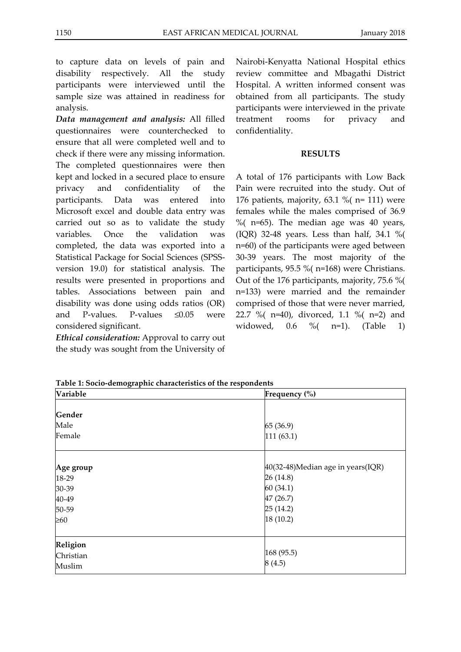to capture data on levels of pain and disability respectively. All the study participants were interviewed until the sample size was attained in readiness for analysis.

*Data management and analysis:* All filled questionnaires were counterchecked to ensure that all were completed well and to check if there were any missing information. The completed questionnaires were then kept and locked in a secured place to ensure privacy and confidentiality of the participants. Data was entered into Microsoft excel and double data entry was carried out so as to validate the study variables. Once the validation was completed, the data was exported into a Statistical Package for Social Sciences (SPSSversion 19.0) for statistical analysis. The results were presented in proportions and tables. Associations between pain and disability was done using odds ratios (OR) and P-values. P-values  $\leq 0.05$  were considered significant.

*Ethical consideration:* Approval to carry out the study was sought from the University of Nairobi-Kenyatta National Hospital ethics review committee and Mbagathi District Hospital. A written informed consent was obtained from all participants. The study participants were interviewed in the private treatment rooms for privacy and confidentiality.

# **RESULTS**

A total of 176 participants with Low Back Pain were recruited into the study. Out of 176 patients, majority, 63.1 %( n= 111) were females while the males comprised of 36.9 %  $($  n=65). The median age was 40 years, (IQR) 32-48 years. Less than half, 34.1 %( n=60) of the participants were aged between 30-39 years. The most majority of the participants, 95.5 %( n=168) were Christians. Out of the 176 participants, majority, 75.6 %( n=133) were married and the remainder comprised of those that were never married, 22.7 %( n=40), divorced, 1.1 %( n=2) and widowed, 0.6 %( n=1). (Table 1)

**Table 1: Socio-demographic characteristics of the respondents**

| Variable  | Frequency (%)                     |
|-----------|-----------------------------------|
|           |                                   |
| Gender    |                                   |
| Male      | 65 (36.9)                         |
| Female    | 111(63.1)                         |
|           |                                   |
| Age group | 40(32-48)Median age in years(IQR) |
| 18-29     | 26 (14.8)                         |
| 30-39     | 60(34.1)                          |
| 40-49     | 47 (26.7)                         |
| 50-59     | 25 (14.2)                         |
| $\geq 60$ | 18(10.2)                          |
| Religion  |                                   |
| Christian | 168 (95.5)                        |
| Muslim    | 8(4.5)                            |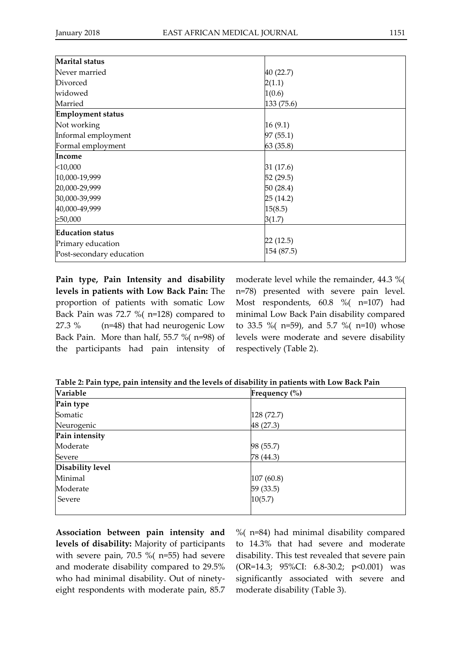| <b>Marital</b> status    |            |
|--------------------------|------------|
| Never married            | 40 (22.7)  |
| Divorced                 | 2(1.1)     |
| widowed                  | 1(0.6)     |
| Married                  | 133 (75.6) |
| <b>Employment status</b> |            |
| Not working              | 16(9.1)    |
| Informal employment      | 97(55.1)   |
| Formal employment        | 63(35.8)   |
| Income                   |            |
| $<$ 10,000               | 31 (17.6)  |
| 10,000-19,999            | 52 (29.5)  |
| 20,000-29,999            | 50 (28.4)  |
| 30,000-39,999            | 25(14.2)   |
| 40,000-49,999            | 15(8.5)    |
| ≥50,000                  | 3(1.7)     |
| <b>Education status</b>  |            |
| Primary education        | 22(12.5)   |
| Post-secondary education | 154 (87.5) |

**Pain type, Pain Intensity and disability levels in patients with Low Back Pain:** The proportion of patients with somatic Low Back Pain was 72.7 %( n=128) compared to 27.3 % (n=48) that had neurogenic Low Back Pain. More than half, 55.7 %( n=98) of the participants had pain intensity of

moderate level while the remainder, 44.3 %( n=78) presented with severe pain level. Most respondents, 60.8 %( n=107) had minimal Low Back Pain disability compared to 33.5 %( n=59), and 5.7 %( n=10) whose levels were moderate and severe disability respectively (Table 2).

**Table 2: Pain type, pain intensity and the levels of disability in patients with Low Back Pain**

| Variable         | Frequency $(\% )$ |
|------------------|-------------------|
| Pain type        |                   |
| Somatic          | 128(72.7)         |
| Neurogenic       | 48 (27.3)         |
| Pain intensity   |                   |
| Moderate         | 98 (55.7)         |
| Severe           | 78 (44.3)         |
| Disability level |                   |
| Minimal          | 107 (60.8)        |
| Moderate         | 59 (33.5)         |
| Severe           | 10(5.7)           |
|                  |                   |

**Association between pain intensity and levels of disability:** Majority of participants with severe pain, 70.5 %( n=55) had severe and moderate disability compared to 29.5% who had minimal disability. Out of ninetyeight respondents with moderate pain, 85.7

%( n=84) had minimal disability compared to 14.3% that had severe and moderate disability. This test revealed that severe pain (OR=14.3; 95%CI: 6.8-30.2; p<0.001) was significantly associated with severe and moderate disability (Table 3).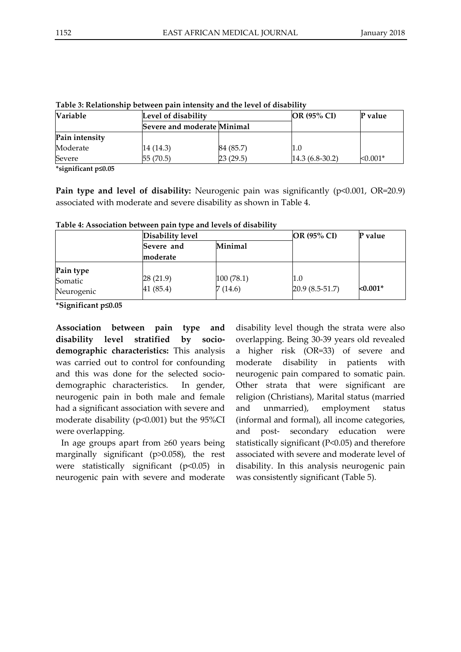| <b>Variable</b> | Level of disability                |           | <b>OR (95% CI)</b> | P value    |
|-----------------|------------------------------------|-----------|--------------------|------------|
|                 | <b>Severe and moderate Minimal</b> |           |                    |            |
| Pain intensity  |                                    |           |                    |            |
| Moderate        | 14 (14.3)                          | 84 (85.7) | 1.0                |            |
| Severe          | 55 (70.5)                          | 23(29.5)  | $14.3(6.8-30.2)$   | $< 0.001*$ |

**Table 3: Relationship between pain intensity and the level of disability**

**\*significant p≤0.05**

**Pain type and level of disability:** Neurogenic pain was significantly (p<0.001, OR=20.9) associated with moderate and severe disability as shown in Table 4.

> 100 (78.1) 7 (14.6)

| Disability level |         | <b>OR (95% CI)</b> | P value |
|------------------|---------|--------------------|---------|
| Severe and       | Minimal |                    |         |
| moderate         |         |                    |         |

**Table 4: Association between pain type and levels of disability**

28 (21.9) 41 (85.4)

**\*Significant p≤0.05**

**Pain type** Somatic Neurogenic

**Association between pain type and disability level stratified by sociodemographic characteristics:** This analysis was carried out to control for confounding and this was done for the selected sociodemographic characteristics. In gender, neurogenic pain in both male and female had a significant association with severe and moderate disability (p<0.001) but the 95%CI were overlapping.

In age groups apart from ≥60 years being marginally significant (p>0.058), the rest were statistically significant (p<0.05) in neurogenic pain with severe and moderate disability level though the strata were also overlapping. Being 30-39 years old revealed a higher risk (OR=33) of severe and moderate disability in patients with neurogenic pain compared to somatic pain. Other strata that were significant are religion (Christians), Marital status (married and unmarried), employment status (informal and formal), all income categories, and post- secondary education were statistically significant (P<0.05) and therefore associated with severe and moderate level of disability. In this analysis neurogenic pain was consistently significant (Table 5).

20.9 (8.5-51.7) **<0.001\***

1.0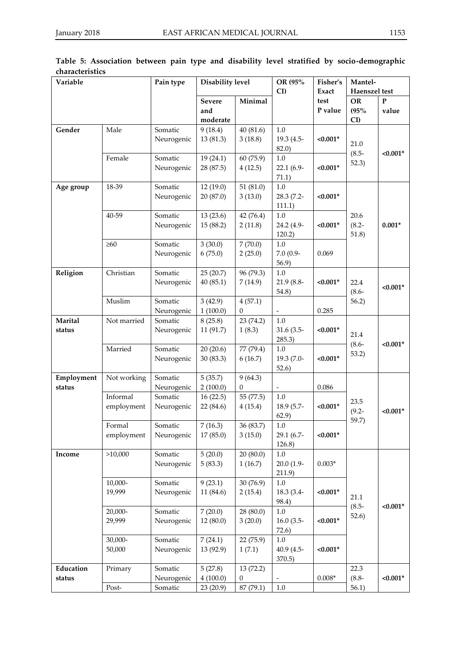| Variable   |             | Disability level<br>Pain type |               |              | OR (95%       | Fisher's   | Mantel-           |              |  |
|------------|-------------|-------------------------------|---------------|--------------|---------------|------------|-------------------|--------------|--|
|            |             |                               |               |              | CI            | Exact      | Haenszel test     |              |  |
|            |             |                               | <b>Severe</b> | Minimal      |               | test       | <b>OR</b>         | $\mathbf{P}$ |  |
|            |             |                               | and           |              |               | P value    | (95%              | value        |  |
|            |             |                               | moderate      |              |               |            | CI                |              |  |
| Gender     | Male        | Somatic                       | 9(18.4)       | 40 (81.6)    | 1.0           |            |                   |              |  |
|            |             | Neurogenic                    | 13 (81.3)     | 3(18.8)      | 19.3 (4.5-    | $< 0.001*$ |                   |              |  |
|            |             |                               |               |              | 82.0)         |            | 21.0              |              |  |
|            | Female      | Somatic                       | 19(24.1)      | 60 (75.9)    | $1.0\,$       |            | $(8.5 -$          | $< 0.001*$   |  |
|            |             | Neurogenic                    | 28 (87.5)     | 4(12.5)      | 22.1 (6.9-    | $< 0.001*$ | 52.3)             |              |  |
|            |             |                               |               |              | 71.1)         |            |                   |              |  |
| Age group  | 18-39       | Somatic                       | 12(19.0)      | 51 $(81.0)$  | 1.0           |            |                   |              |  |
|            |             | Neurogenic                    | 20 (87.0)     | 3(13.0)      | 28.3 (7.2-    | $< 0.001*$ |                   |              |  |
|            |             |                               |               |              | 111.1)        |            |                   |              |  |
|            | 40-59       | Somatic                       | 13(23.6)      | 42 (76.4)    | $1.0\,$       |            | 20.6              |              |  |
|            |             | Neurogenic                    | 15 (88.2)     | 2(11.8)      | 24.2 (4.9-    | $< 0.001*$ | $(8.2 -$          | $0.001*$     |  |
|            |             |                               |               |              | 120.2)        |            | 51.8)             |              |  |
|            | $\geq 60$   | Somatic                       | 3(30.0)       | 7(70.0)      | $1.0\,$       |            |                   |              |  |
|            |             | Neurogenic                    | 6(75.0)       | 2(25.0)      | $7.0(0.9 -$   | 0.069      |                   |              |  |
|            |             |                               |               |              | 56.9)         |            |                   |              |  |
| Religion   | Christian   | Somatic                       | 25(20.7)      | 96 (79.3)    | 1.0           |            |                   |              |  |
|            |             | Neurogenic                    | 40(85.1)      | 7(14.9)      | 21.9 (8.8-    | $< 0.001*$ | 22.4              |              |  |
|            |             |                               |               |              | 54.8)         |            | $(8.6 -$          | $< 0.001*$   |  |
|            | Muslim      | Somatic                       | 3(42.9)       | 4(57.1)      |               |            | 56.2)             |              |  |
|            |             | Neurogenic                    | 1(100.0)      | $\mathbf{0}$ |               | 0.285      |                   |              |  |
| Marital    | Not married | Somatic                       | 8(25.8)       | 23 (74.2)    | $1.0\,$       |            |                   |              |  |
| status     |             | Neurogenic                    | 11 (91.7)     | 1(8.3)       | $31.6(3.5 -$  | $< 0.001*$ |                   |              |  |
|            |             |                               |               |              | 285.3)        |            | 21.4              |              |  |
|            | Married     | Somatic                       | 20(20.6)      | 77 (79.4)    | 1.0           |            | $(8.6 -$          | $< 0.001*$   |  |
|            |             | Neurogenic                    | 30(83.3)      | 6(16.7)      | 19.3 (7.0-    | $< 0.001*$ | 53.2)             |              |  |
|            |             |                               |               |              | 52.6)         |            |                   |              |  |
| Employment | Not working | Somatic                       | 5(35.7)       | 9(64.3)      |               |            |                   |              |  |
| status     |             | Neurogenic                    | 2(100.0)      | $\Omega$     | $\frac{1}{2}$ | 0.086      |                   |              |  |
|            | Informal    | Somatic                       | 16(22.5)      | 55 (77.5)    | $1.0\,$       |            |                   |              |  |
|            | employment  | Neurogenic                    | 22 (84.6)     | 4(15.4)      | 18.9 (5.7-    | $< 0.001*$ | 23.5              | $< 0.001*$   |  |
|            |             |                               |               |              | 62.9)         |            | $(9.2 -$<br>59.7) |              |  |
|            | Formal      | Somatic                       | 7(16.3)       | 36 (83.7)    | $1.0\,$       |            |                   |              |  |
|            | employment  | Neurogenic                    | 17(85.0)      | 3(15.0)      | 29.1 (6.7-    | $< 0.001*$ |                   |              |  |
|            |             |                               |               |              | 126.8)        |            |                   |              |  |
| Income     | >10,000     | Somatic                       | 5(20.0)       | 20(80.0)     | $1.0\,$       |            |                   |              |  |
|            |             | Neurogenic                    | 5(83.3)       | 1(16.7)      | $20.0(1.9-$   | $0.003*$   |                   |              |  |
|            |             |                               |               |              | 211.9)        |            |                   |              |  |
|            | 10,000-     | Somatic                       | 9(23.1)       | 30 (76.9)    | $1.0\,$       |            |                   |              |  |
|            | 19,999      | Neurogenic                    | 11 (84.6)     | 2(15.4)      | 18.3 (3.4-    | $< 0.001*$ | 21.1              |              |  |
|            |             |                               |               |              | 98.4)         |            | $(8.5 -$          | $< 0.001*$   |  |
|            | 20,000-     | Somatic                       | 7(20.0)       | 28 (80.0)    | 1.0           |            | 52.6)             |              |  |
|            | 29,999      | Neurogenic                    | 12(80.0)      | 3(20.0)      | $16.0(3.5-$   | $< 0.001*$ |                   |              |  |
|            |             |                               |               |              | 72.6)         |            |                   |              |  |
|            | 30,000-     | Somatic                       | 7(24.1)       | 22 (75.9)    | $1.0\,$       |            |                   |              |  |
|            | 50,000      | Neurogenic                    | 13 (92.9)     | 1(7.1)       | 40.9 (4.5-    | $< 0.001*$ |                   |              |  |
|            |             |                               |               |              | 370.5)        |            |                   |              |  |
| Education  | Primary     | Somatic                       | 5(27.8)       | 13 (72.2)    |               |            | 22.3              |              |  |
| status     |             | Neurogenic                    | 4(100.0)      | $\mathbf{0}$ | ÷,            | $0.008*$   | $(8.8 -$          | $< 0.001*$   |  |
|            | Post-       | Somatic                       | 23 (20.9)     | 87 (79.1)    | $1.0\,$       |            | 56.1)             |              |  |

|                 |  |  |  |  | Table 5: Association between pain type and disability level stratified by socio-demographic |
|-----------------|--|--|--|--|---------------------------------------------------------------------------------------------|
| characteristics |  |  |  |  |                                                                                             |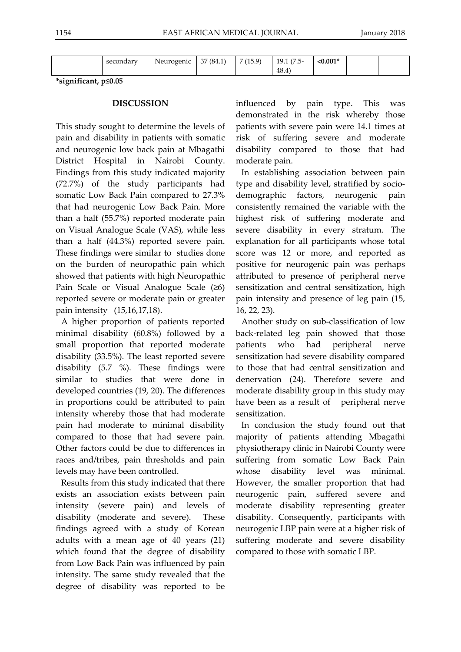| $\sim$ with<br>ser<br>∵onaa | $\sim$ $\sim$ $\sim$ $\sim$ $\sim$ $\sim$<br>veu.<br>.<br>.<br>.<br>____ | $\sim$ $\sim$<br>$\sqrt{2}$<br>. .<br>$\cup$<br>1 J.L | $(1 - \alpha)$<br>روب | $\sqrt{2}$<br>.<br>$\ddot{}$<br>. .<br>. .<br>48.4 | $0.001*$<br>. |  |
|-----------------------------|--------------------------------------------------------------------------|-------------------------------------------------------|-----------------------|----------------------------------------------------|---------------|--|
|                             |                                                                          |                                                       |                       |                                                    |               |  |

**\*significant, p≤0.05**

## **DISCUSSION**

This study sought to determine the levels of pain and disability in patients with somatic and neurogenic low back pain at Mbagathi District Hospital in Nairobi County. Findings from this study indicated majority (72.7%) of the study participants had somatic Low Back Pain compared to 27.3% that had neurogenic Low Back Pain. More than a half (55.7%) reported moderate pain on Visual Analogue Scale (VAS), while less than a half (44.3%) reported severe pain. These findings were similar to studies done on the burden of neuropathic pain which showed that patients with high Neuropathic Pain Scale or Visual Analogue Scale (≥6) reported severe or moderate pain or greater pain intensity (15,16,17,18).

A higher proportion of patients reported minimal disability (60.8%) followed by a small proportion that reported moderate disability (33.5%). The least reported severe disability (5.7 %). These findings were similar to studies that were done in developed countries (19, 20). The differences in proportions could be attributed to pain intensity whereby those that had moderate pain had moderate to minimal disability compared to those that had severe pain. Other factors could be due to differences in races and/tribes, pain thresholds and pain levels may have been controlled.

Results from this study indicated that there exists an association exists between pain intensity (severe pain) and levels of disability (moderate and severe). These findings agreed with a study of Korean adults with a mean age of 40 years (21) which found that the degree of disability from Low Back Pain was influenced by pain intensity. The same study revealed that the degree of disability was reported to be influenced by pain type. This was demonstrated in the risk whereby those patients with severe pain were 14.1 times at risk of suffering severe and moderate disability compared to those that had moderate pain.

In establishing association between pain type and disability level, stratified by sociodemographic factors, neurogenic pain consistently remained the variable with the highest risk of suffering moderate and severe disability in every stratum. The explanation for all participants whose total score was 12 or more, and reported as positive for neurogenic pain was perhaps attributed to presence of peripheral nerve sensitization and central sensitization, high pain intensity and presence of leg pain (15, 16, 22, 23).

Another study on sub-classification of low back-related leg pain showed that those patients who had peripheral nerve sensitization had severe disability compared to those that had central sensitization and denervation (24). Therefore severe and moderate disability group in this study may have been as a result of peripheral nerve sensitization.

In conclusion the study found out that majority of patients attending Mbagathi physiotherapy clinic in Nairobi County were suffering from somatic Low Back Pain whose disability level was minimal. However, the smaller proportion that had neurogenic pain, suffered severe and moderate disability representing greater disability. Consequently, participants with neurogenic LBP pain were at a higher risk of suffering moderate and severe disability compared to those with somatic LBP.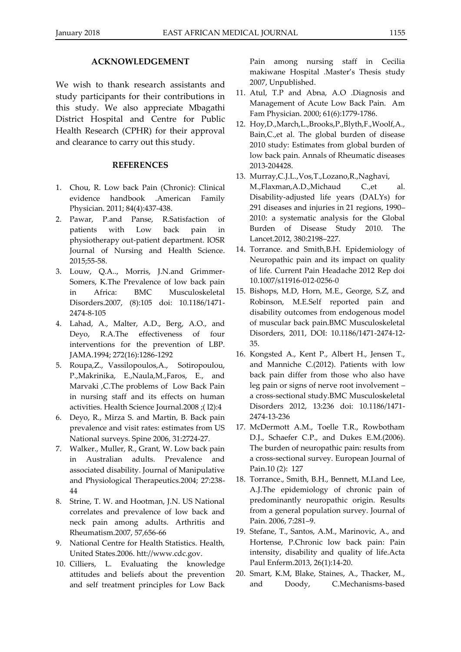#### **ACKNOWLEDGEMENT**

We wish to thank research assistants and study participants for their contributions in this study. We also appreciate Mbagathi District Hospital and Centre for Public Health Research (CPHR) for their approval and clearance to carry out this study.

### **REFERENCES**

- 1. Chou, R. Low back Pain (Chronic): Clinical evidence handbook .American Family Physician. 2011; 84(4):437-438.
- 2. Pawar, P.and Panse, R.Satisfaction of patients with Low back pain in physiotherapy out-patient department. IOSR Journal of Nursing and Health Science. 2015;55-58.
- 3. Louw, Q.A.., Morris, J.N.and Grimmer-Somers, K.The Prevalence of low back pain in Africa: BMC Musculoskeletal Disorders.2007, (8):105 doi: 10.1186/1471- 2474-8-105
- 4. Lahad, A., Malter, A.D., Berg, A.O., and Deyo, R.A.The effectiveness of four interventions for the prevention of LBP. JAMA.1994; 272(16):1286-1292
- 5. Roupa,Z., Vassilopoulos,A., Sotiropoulou, P.,Makrinika, E.,Naula,M.,Faros, E., and Marvaki ,C.The problems of Low Back Pain in nursing staff and its effects on human activities. Health Science Journal.2008 ;( l2):4
- 6. Deyo, R., Mirza S. and Martin, B. Back pain prevalence and visit rates: estimates from US National surveys. Spine 2006, 31:2724-27.
- 7. Walker., Muller, R., Grant, W. Low back pain in Australian adults. Prevalence and associated disability. Journal of Manipulative and Physiological Therapeutics.2004; 27:238- 44
- 8. Strine, T. W. and Hootman, J.N. US National correlates and prevalence of low back and neck pain among adults. Arthritis and Rheumatism.2007, 57,656-66
- 9. National Centre for Health Statistics. Health, United States.2006. htt://www.cdc.gov.
- 10. Cilliers, L. Evaluating the knowledge attitudes and beliefs about the prevention and self treatment principles for Low Back

Pain among nursing staff in Cecilia makiwane Hospital .Master's Thesis study 2007, Unpublished.

- 11. Atul, T.P and Abna, A.O .Diagnosis and Management of Acute Low Back Pain. Am Fam Physician. 2000; 61(6):1779-1786.
- 12. Hoy,D.,March,L.,Brooks,P.,Blyth,F.,Woolf,A., Bain,C.,et al. The global burden of disease 2010 study: Estimates from global burden of low back pain. Annals of Rheumatic diseases 2013-204428.
- 13. Murray,C.J.L.,Vos,T.,Lozano,R.,Naghavi, M.,Flaxman,A.D.,Michaud C.,et al. Disability-adjusted life years (DALYs) for 291 diseases and injuries in 21 regions, 1990– 2010: a systematic analysis for the Global Burden of Disease Study 2010. The Lancet.2012, 380:2198–227.
- 14. Torrance. and Smith,B.H. Epidemiology of Neuropathic pain and its impact on quality of life. Current Pain Headache 2012 Rep doi 10.1007/s11916-012-0256-0
- 15. Bishops, M.D, Horn, M.E., George, S.Z, and Robinson, M.E.Self reported pain and disability outcomes from endogenous model of muscular back pain.BMC Musculoskeletal Disorders, 2011, DOI: 10.1186/1471-2474-12- 35.
- 16. Kongsted A., Kent P., Albert H., Jensen T., and Manniche C.(2012). Patients with low back pain differ from those who also have leg pain or signs of nerve root involvement – a cross-sectional study.BMC Musculoskeletal Disorders 2012, 13:236 doi: 10.1186/1471- 2474-13-236
- 17. McDermott A.M., Toelle T.R., Rowbotham D.J., Schaefer C.P., and Dukes E.M.(2006). The burden of neuropathic pain: results from a cross-sectional survey. European Journal of Pain.10 (2): 127
- 18. Torrance., Smith, B.H., Bennett, M.I.and Lee, A.J.The epidemiology of chronic pain of predominantly neuropathic origin. Results from a general population survey. Journal of Pain. 2006, 7:281–9.
- 19. Stefane, T., Santos, A.M., Marinovic, A., and Hortense, P.Chronic low back pain: Pain intensity, disability and quality of life.Acta Paul Enferm.2013, 26(1):14-20.
- 20. Smart, K.M, Blake, Staines, A., Thacker, M., and Doody, C.Mechanisms-based